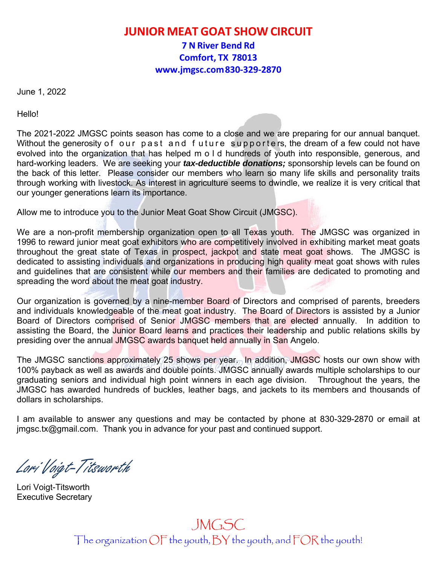## **JUNIOR MEAT GOAT SHOW CIRCUIT**

**7 N River Bend Rd Comfort, TX 78013 www.jmgsc.com 830‐329‐2870**

June 1, 2022

Hello!

The 2021-2022 JMGSC points season has come to a close and we are preparing for our annual banquet. Without the generosity of our past and f uture supporte rs, the dream of a few could not have evolved into the organization that has helped m o l d hundreds of youth into responsible, generous, and hard-working leaders. We are seeking your *tax-deductible donations;* sponsorship levels can be found on the back of this letter. Please consider our members who learn so many life skills and personality traits through working with livestock. As interest in agriculture seems to dwindle, we realize it is very critical that our younger generations learn its importance.

Allow me to introduce you to the Junior Meat Goat Show Circuit (JMGSC).

We are a non-profit membership organization open to all Texas youth. The JMGSC was organized in 1996 to reward junior meat goat exhibitors who are competitively involved in exhibiting market meat goats throughout the great state of Texas in prospect, jackpot and state meat goat shows. The JMGSC is dedicated to assisting individuals and organizations in producing high quality meat goat shows with rules and guidelines that are consistent while our members and their families are dedicated to promoting and spreading the word about the meat goat industry.

Our organization is governed by a nine-member Board of Directors and comprised of parents, breeders and individuals knowledgeable of the meat goat industry. The Board of Directors is assisted by a Junior Board of Directors comprised of Senior JMGSC members that are elected annually. In addition to assisting the Board, the Junior Board learns and practices their leadership and public relations skills by presiding over the annual JMGSC awards banquet held annually in San Angelo.

The JMGSC sanctions approximately 25 shows per year. In addition, JMGSC hosts our own show with 100% payback as well as awards and double points. JMGSC annually awards multiple scholarships to our graduating seniors and individual high point winners in each age division. Throughout the years, the JMGSC has awarded hundreds of buckles, leather bags, and jackets to its members and thousands of dollars in scholarships.

I am available to answer any questions and may be contacted by phone at 830-329-2870 or email at jmgsc.tx@gmail.com. Thank you in advance for your past and continued support.

Lori Voigt-Titsworth

Lori Voigt-Titsworth Executive Secretary

## JMGSC The organization OF the youth, BY the youth, and FOR the youth!